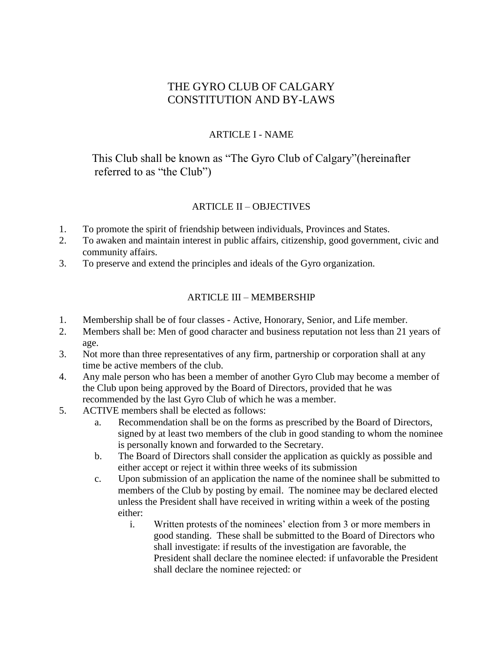# THE GYRO CLUB OF CALGARY CONSTITUTION AND BY-LAWS

### ARTICLE I - NAME

This Club shall be known as "The Gyro Club of Calgary"(hereinafter referred to as "the Club")

## ARTICLE II – OBJECTIVES

- 1. To promote the spirit of friendship between individuals, Provinces and States.
- 2. To awaken and maintain interest in public affairs, citizenship, good government, civic and community affairs.
- 3. To preserve and extend the principles and ideals of the Gyro organization.

#### ARTICLE III – MEMBERSHIP

- 1. Membership shall be of four classes Active, Honorary, Senior, and Life member.
- 2. Members shall be: Men of good character and business reputation not less than 21 years of age.
- 3. Not more than three representatives of any firm, partnership or corporation shall at any time be active members of the club.
- 4. Any male person who has been a member of another Gyro Club may become a member of the Club upon being approved by the Board of Directors, provided that he was recommended by the last Gyro Club of which he was a member.
- 5. ACTIVE members shall be elected as follows:
	- a. Recommendation shall be on the forms as prescribed by the Board of Directors, signed by at least two members of the club in good standing to whom the nominee is personally known and forwarded to the Secretary.
	- b. The Board of Directors shall consider the application as quickly as possible and either accept or reject it within three weeks of its submission
	- c. Upon submission of an application the name of the nominee shall be submitted to members of the Club by posting by email. The nominee may be declared elected unless the President shall have received in writing within a week of the posting either:
		- i. Written protests of the nominees' election from 3 or more members in good standing. These shall be submitted to the Board of Directors who shall investigate: if results of the investigation are favorable, the President shall declare the nominee elected: if unfavorable the President shall declare the nominee rejected: or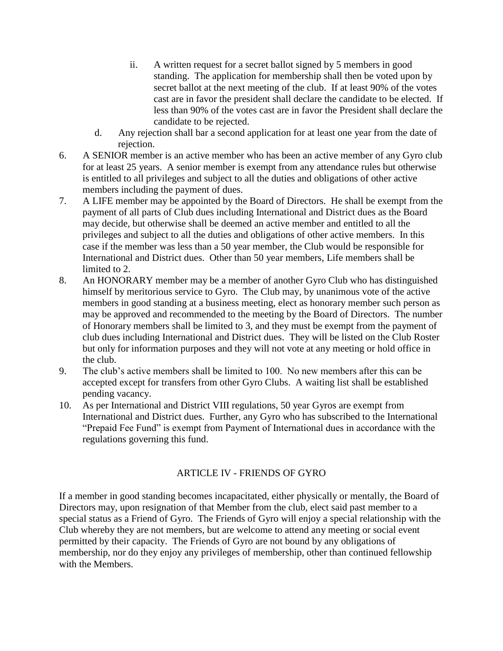- ii. A written request for a secret ballot signed by 5 members in good standing. The application for membership shall then be voted upon by secret ballot at the next meeting of the club. If at least 90% of the votes cast are in favor the president shall declare the candidate to be elected. If less than 90% of the votes cast are in favor the President shall declare the candidate to be rejected.
- d. Any rejection shall bar a second application for at least one year from the date of rejection.
- 6. A SENIOR member is an active member who has been an active member of any Gyro club for at least 25 years. A senior member is exempt from any attendance rules but otherwise is entitled to all privileges and subject to all the duties and obligations of other active members including the payment of dues.
- 7. A LIFE member may be appointed by the Board of Directors. He shall be exempt from the payment of all parts of Club dues including International and District dues as the Board may decide, but otherwise shall be deemed an active member and entitled to all the privileges and subject to all the duties and obligations of other active members. In this case if the member was less than a 50 year member, the Club would be responsible for International and District dues. Other than 50 year members, Life members shall be limited to 2.
- 8. An HONORARY member may be a member of another Gyro Club who has distinguished himself by meritorious service to Gyro. The Club may, by unanimous vote of the active members in good standing at a business meeting, elect as honorary member such person as may be approved and recommended to the meeting by the Board of Directors. The number of Honorary members shall be limited to 3, and they must be exempt from the payment of club dues including International and District dues. They will be listed on the Club Roster but only for information purposes and they will not vote at any meeting or hold office in the club.
- 9. The club's active members shall be limited to 100. No new members after this can be accepted except for transfers from other Gyro Clubs. A waiting list shall be established pending vacancy.
- 10. As per International and District VIII regulations, 50 year Gyros are exempt from International and District dues. Further, any Gyro who has subscribed to the International "Prepaid Fee Fund" is exempt from Payment of International dues in accordance with the regulations governing this fund.

#### ARTICLE IV - FRIENDS OF GYRO

If a member in good standing becomes incapacitated, either physically or mentally, the Board of Directors may, upon resignation of that Member from the club, elect said past member to a special status as a Friend of Gyro. The Friends of Gyro will enjoy a special relationship with the Club whereby they are not members, but are welcome to attend any meeting or social event permitted by their capacity. The Friends of Gyro are not bound by any obligations of membership, nor do they enjoy any privileges of membership, other than continued fellowship with the Members.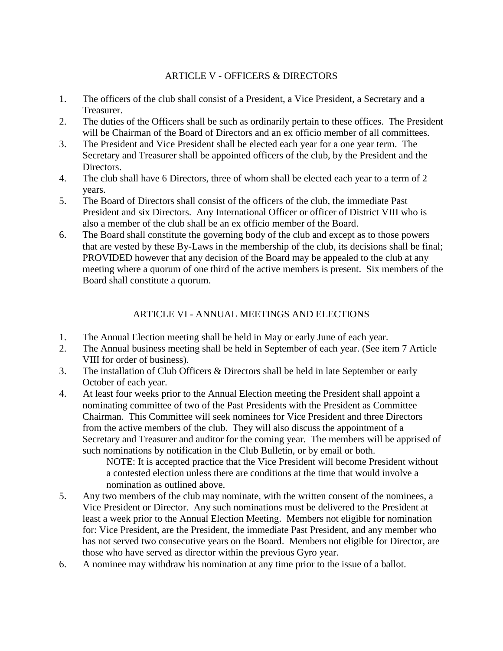## ARTICLE V - OFFICERS & DIRECTORS

- 1. The officers of the club shall consist of a President, a Vice President, a Secretary and a Treasurer.
- 2. The duties of the Officers shall be such as ordinarily pertain to these offices. The President will be Chairman of the Board of Directors and an ex officio member of all committees.
- 3. The President and Vice President shall be elected each year for a one year term. The Secretary and Treasurer shall be appointed officers of the club, by the President and the Directors.
- 4. The club shall have 6 Directors, three of whom shall be elected each year to a term of 2 years.
- 5. The Board of Directors shall consist of the officers of the club, the immediate Past President and six Directors. Any International Officer or officer of District VIII who is also a member of the club shall be an ex officio member of the Board.
- 6. The Board shall constitute the governing body of the club and except as to those powers that are vested by these By-Laws in the membership of the club, its decisions shall be final; PROVIDED however that any decision of the Board may be appealed to the club at any meeting where a quorum of one third of the active members is present. Six members of the Board shall constitute a quorum.

# ARTICLE VI - ANNUAL MEETINGS AND ELECTIONS

- 1. The Annual Election meeting shall be held in May or early June of each year.
- 2. The Annual business meeting shall be held in September of each year. (See item 7 Article VIII for order of business).
- 3. The installation of Club Officers & Directors shall be held in late September or early October of each year.
- 4. At least four weeks prior to the Annual Election meeting the President shall appoint a nominating committee of two of the Past Presidents with the President as Committee Chairman. This Committee will seek nominees for Vice President and three Directors from the active members of the club. They will also discuss the appointment of a Secretary and Treasurer and auditor for the coming year. The members will be apprised of such nominations by notification in the Club Bulletin, or by email or both.

NOTE: It is accepted practice that the Vice President will become President without a contested election unless there are conditions at the time that would involve a nomination as outlined above.

- 5. Any two members of the club may nominate, with the written consent of the nominees, a Vice President or Director. Any such nominations must be delivered to the President at least a week prior to the Annual Election Meeting. Members not eligible for nomination for: Vice President, are the President, the immediate Past President, and any member who has not served two consecutive years on the Board. Members not eligible for Director, are those who have served as director within the previous Gyro year.
- 6. A nominee may withdraw his nomination at any time prior to the issue of a ballot.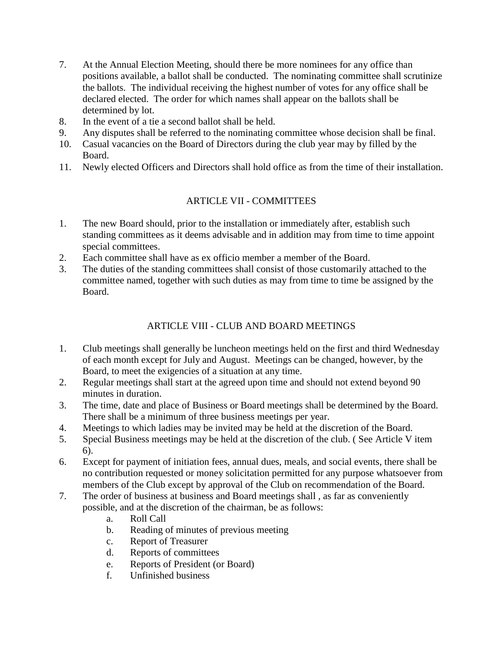- 7. At the Annual Election Meeting, should there be more nominees for any office than positions available, a ballot shall be conducted. The nominating committee shall scrutinize the ballots. The individual receiving the highest number of votes for any office shall be declared elected. The order for which names shall appear on the ballots shall be determined by lot.
- 8. In the event of a tie a second ballot shall be held.
- 9. Any disputes shall be referred to the nominating committee whose decision shall be final.
- 10. Casual vacancies on the Board of Directors during the club year may by filled by the Board.
- 11. Newly elected Officers and Directors shall hold office as from the time of their installation.

# ARTICLE VII - COMMITTEES

- 1. The new Board should, prior to the installation or immediately after, establish such standing committees as it deems advisable and in addition may from time to time appoint special committees.
- 2. Each committee shall have as ex officio member a member of the Board.
- 3. The duties of the standing committees shall consist of those customarily attached to the committee named, together with such duties as may from time to time be assigned by the Board.

# ARTICLE VIII - CLUB AND BOARD MEETINGS

- 1. Club meetings shall generally be luncheon meetings held on the first and third Wednesday of each month except for July and August. Meetings can be changed, however, by the Board, to meet the exigencies of a situation at any time.
- 2. Regular meetings shall start at the agreed upon time and should not extend beyond 90 minutes in duration.
- 3. The time, date and place of Business or Board meetings shall be determined by the Board. There shall be a minimum of three business meetings per year.
- 4. Meetings to which ladies may be invited may be held at the discretion of the Board.
- 5. Special Business meetings may be held at the discretion of the club. ( See Article V item 6).
- 6. Except for payment of initiation fees, annual dues, meals, and social events, there shall be no contribution requested or money solicitation permitted for any purpose whatsoever from members of the Club except by approval of the Club on recommendation of the Board.
- 7. The order of business at business and Board meetings shall , as far as conveniently possible, and at the discretion of the chairman, be as follows:
	- a. Roll Call
	- b. Reading of minutes of previous meeting
	- c. Report of Treasurer
	- d. Reports of committees
	- e. Reports of President (or Board)
	- f. Unfinished business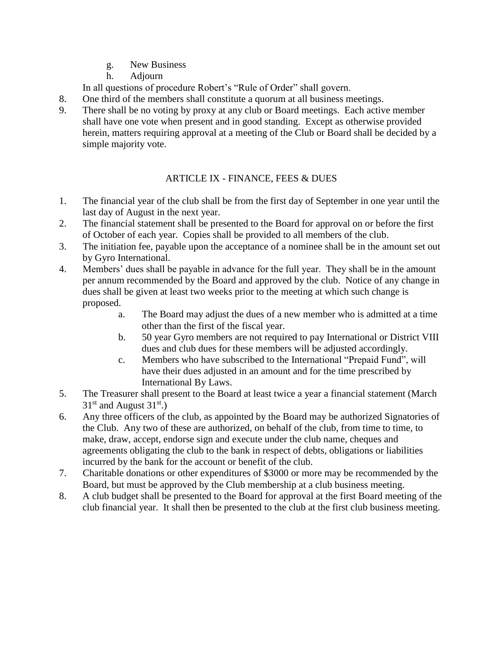- g. New Business
- h. Adjourn

In all questions of procedure Robert's "Rule of Order" shall govern.

- 8. One third of the members shall constitute a quorum at all business meetings.
- 9. There shall be no voting by proxy at any club or Board meetings. Each active member shall have one vote when present and in good standing. Except as otherwise provided herein, matters requiring approval at a meeting of the Club or Board shall be decided by a simple majority vote.

# ARTICLE IX - FINANCE, FEES & DUES

- 1. The financial year of the club shall be from the first day of September in one year until the last day of August in the next year.
- 2. The financial statement shall be presented to the Board for approval on or before the first of October of each year. Copies shall be provided to all members of the club.
- 3. The initiation fee, payable upon the acceptance of a nominee shall be in the amount set out by Gyro International.
- 4. Members' dues shall be payable in advance for the full year. They shall be in the amount per annum recommended by the Board and approved by the club. Notice of any change in dues shall be given at least two weeks prior to the meeting at which such change is proposed.
	- a. The Board may adjust the dues of a new member who is admitted at a time other than the first of the fiscal year.
	- b. 50 year Gyro members are not required to pay International or District VIII dues and club dues for these members will be adjusted accordingly.
	- c. Members who have subscribed to the International "Prepaid Fund", will have their dues adjusted in an amount and for the time prescribed by International By Laws.
- 5. The Treasurer shall present to the Board at least twice a year a financial statement (March  $31<sup>st</sup>$  and August  $31<sup>st</sup>$ .)
- 6. Any three officers of the club, as appointed by the Board may be authorized Signatories of the Club. Any two of these are authorized, on behalf of the club, from time to time, to make, draw, accept, endorse sign and execute under the club name, cheques and agreements obligating the club to the bank in respect of debts, obligations or liabilities incurred by the bank for the account or benefit of the club.
- 7. Charitable donations or other expenditures of \$3000 or more may be recommended by the Board, but must be approved by the Club membership at a club business meeting.
- 8. A club budget shall be presented to the Board for approval at the first Board meeting of the club financial year. It shall then be presented to the club at the first club business meeting.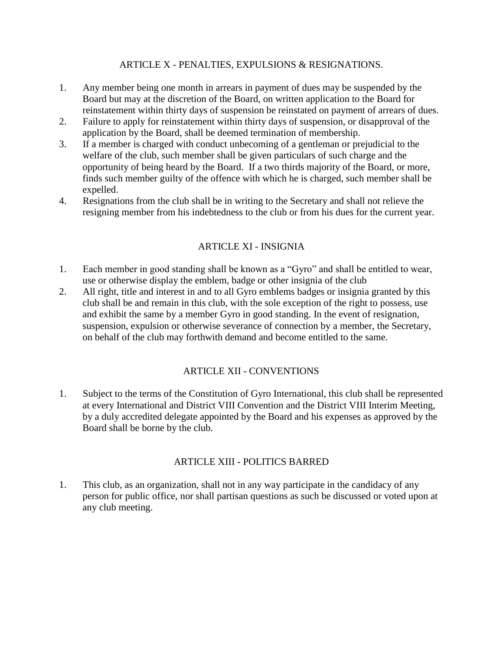#### ARTICLE X - PENALTIES, EXPULSIONS & RESIGNATIONS.

- 1. Any member being one month in arrears in payment of dues may be suspended by the Board but may at the discretion of the Board, on written application to the Board for reinstatement within thirty days of suspension be reinstated on payment of arrears of dues.
- 2. Failure to apply for reinstatement within thirty days of suspension, or disapproval of the application by the Board, shall be deemed termination of membership.
- 3. If a member is charged with conduct unbecoming of a gentleman or prejudicial to the welfare of the club, such member shall be given particulars of such charge and the opportunity of being heard by the Board. If a two thirds majority of the Board, or more, finds such member guilty of the offence with which he is charged, such member shall be expelled.
- 4. Resignations from the club shall be in writing to the Secretary and shall not relieve the resigning member from his indebtedness to the club or from his dues for the current year.

## ARTICLE XI - INSIGNIA

- 1. Each member in good standing shall be known as a "Gyro" and shall be entitled to wear, use or otherwise display the emblem, badge or other insignia of the club
- 2. All right, title and interest in and to all Gyro emblems badges or insignia granted by this club shall be and remain in this club, with the sole exception of the right to possess, use and exhibit the same by a member Gyro in good standing. In the event of resignation, suspension, expulsion or otherwise severance of connection by a member, the Secretary, on behalf of the club may forthwith demand and become entitled to the same.

#### ARTICLE XII - CONVENTIONS

1. Subject to the terms of the Constitution of Gyro International, this club shall be represented at every International and District VIII Convention and the District VIII Interim Meeting, by a duly accredited delegate appointed by the Board and his expenses as approved by the Board shall be borne by the club.

#### ARTICLE XIII - POLITICS BARRED

1. This club, as an organization, shall not in any way participate in the candidacy of any person for public office, nor shall partisan questions as such be discussed or voted upon at any club meeting.